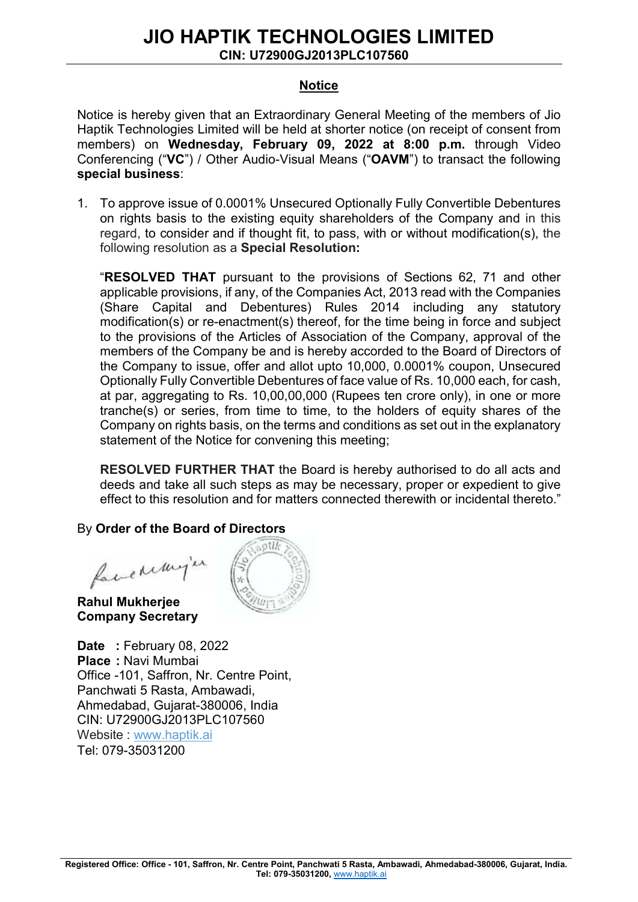# JIO HAPTIK TECHNOLOGIES LIMITED

CIN: U72900GJ2013PLC107560

#### Notice

Notice is hereby given that an Extraordinary General Meeting of the members of Jio Haptik Technologies Limited will be held at shorter notice (on receipt of consent from members) on Wednesday, February 09, 2022 at 8:00 p.m. through Video Conferencing ("VC") / Other Audio-Visual Means ("OAVM") to transact the following special business:

1. To approve issue of 0.0001% Unsecured Optionally Fully Convertible Debentures on rights basis to the existing equity shareholders of the Company and in this regard, to consider and if thought fit, to pass, with or without modification(s), the following resolution as a Special Resolution:

"RESOLVED THAT pursuant to the provisions of Sections 62, 71 and other applicable provisions, if any, of the Companies Act, 2013 read with the Companies (Share Capital and Debentures) Rules 2014 including any statutory modification(s) or re-enactment(s) thereof, for the time being in force and subject to the provisions of the Articles of Association of the Company, approval of the members of the Company be and is hereby accorded to the Board of Directors of the Company to issue, offer and allot upto 10,000, 0.0001% coupon, Unsecured Optionally Fully Convertible Debentures of face value of Rs. 10,000 each, for cash, at par, aggregating to Rs. 10,00,00,000 (Rupees ten crore only), in one or more tranche(s) or series, from time to time, to the holders of equity shares of the Company on rights basis, on the terms and conditions as set out in the explanatory statement of the Notice for convening this meeting;

RESOLVED FURTHER THAT the Board is hereby authorised to do all acts and deeds and take all such steps as may be necessary, proper or expedient to give effect to this resolution and for matters connected therewith or incidental thereto."

## By Order of the Board of Directors

face remy'er

Rahul Mukherjee Company Secretary

Date: February 08, 2022 Place : Navi Mumbai Office -101, Saffron, Nr. Centre Point, Panchwati 5 Rasta, Ambawadi, Ahmedabad, Gujarat-380006, India CIN: U72900GJ2013PLC107560 Website : www.haptik.ai Tel: 079-35031200

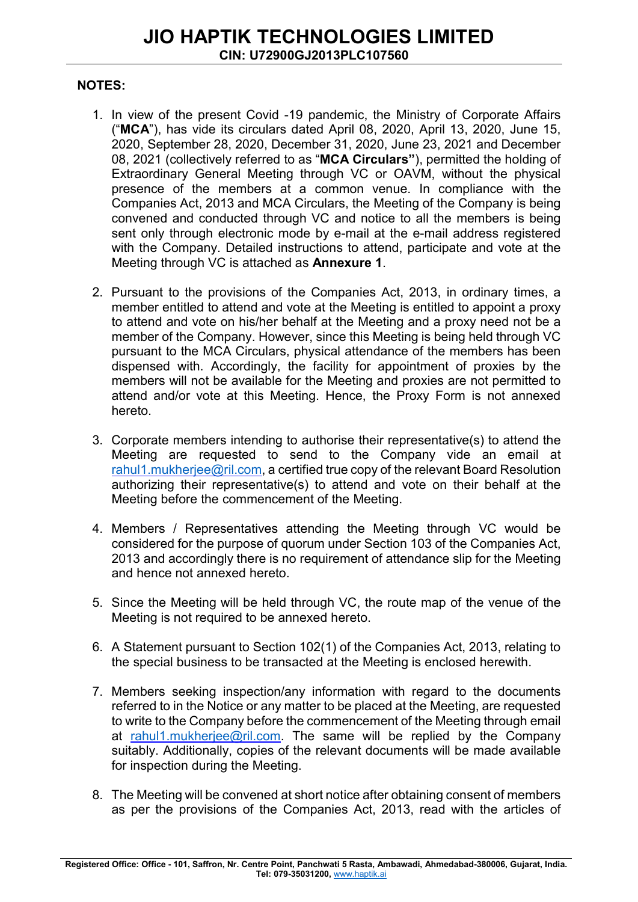#### NOTES:

- 1. In view of the present Covid -19 pandemic, the Ministry of Corporate Affairs ("MCA"), has vide its circulars dated April 08, 2020, April 13, 2020, June 15, 2020, September 28, 2020, December 31, 2020, June 23, 2021 and December 08, 2021 (collectively referred to as "MCA Circulars"), permitted the holding of Extraordinary General Meeting through VC or OAVM, without the physical presence of the members at a common venue. In compliance with the Companies Act, 2013 and MCA Circulars, the Meeting of the Company is being convened and conducted through VC and notice to all the members is being sent only through electronic mode by e-mail at the e-mail address registered with the Company. Detailed instructions to attend, participate and vote at the Meeting through VC is attached as Annexure 1.
- 2. Pursuant to the provisions of the Companies Act, 2013, in ordinary times, a member entitled to attend and vote at the Meeting is entitled to appoint a proxy to attend and vote on his/her behalf at the Meeting and a proxy need not be a member of the Company. However, since this Meeting is being held through VC pursuant to the MCA Circulars, physical attendance of the members has been dispensed with. Accordingly, the facility for appointment of proxies by the members will not be available for the Meeting and proxies are not permitted to attend and/or vote at this Meeting. Hence, the Proxy Form is not annexed hereto.
- 3. Corporate members intending to authorise their representative(s) to attend the Meeting are requested to send to the Company vide an email at rahul1.mukherjee@ril.com, a certified true copy of the relevant Board Resolution authorizing their representative(s) to attend and vote on their behalf at the Meeting before the commencement of the Meeting.
- 4. Members / Representatives attending the Meeting through VC would be considered for the purpose of quorum under Section 103 of the Companies Act, 2013 and accordingly there is no requirement of attendance slip for the Meeting and hence not annexed hereto.
- 5. Since the Meeting will be held through VC, the route map of the venue of the Meeting is not required to be annexed hereto.
- 6. A Statement pursuant to Section 102(1) of the Companies Act, 2013, relating to the special business to be transacted at the Meeting is enclosed herewith.
- 7. Members seeking inspection/any information with regard to the documents referred to in the Notice or any matter to be placed at the Meeting, are requested to write to the Company before the commencement of the Meeting through email at rahul1.mukherjee@ril.com. The same will be replied by the Company suitably. Additionally, copies of the relevant documents will be made available for inspection during the Meeting.
- 8. The Meeting will be convened at short notice after obtaining consent of members as per the provisions of the Companies Act, 2013, read with the articles of

Registered Office: Office - 101, Saffron, Nr. Centre Point, Panchwati 5 Rasta, Ambawadi, Ahmedabad-380006, Gujarat, India. Tel: 079-35031200, www.haptik.ai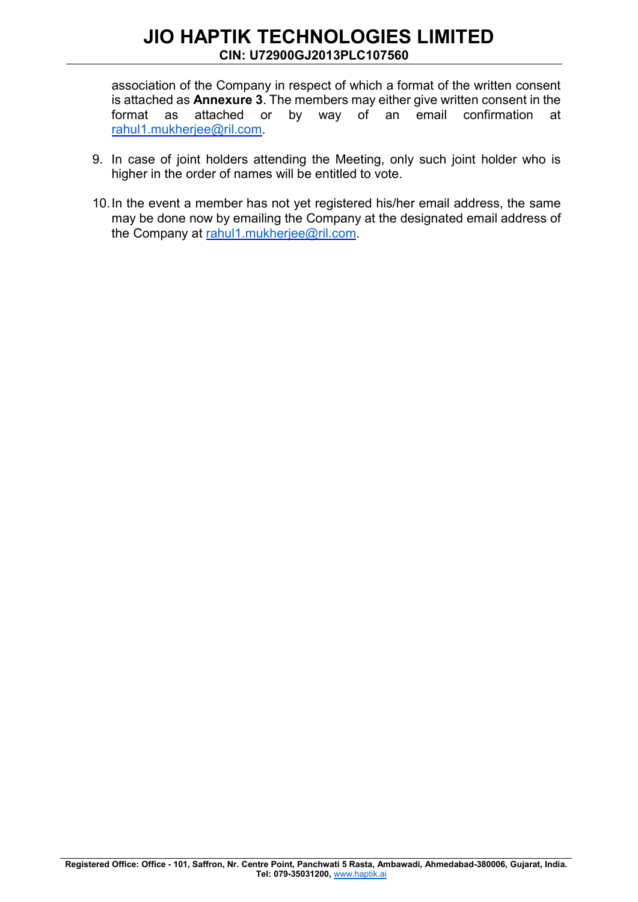association of the Company in respect of which a format of the written consent is attached as Annexure 3. The members may either give written consent in the format as attached or by way of an email confirmation at rahul1.mukherjee@ril.com.

- 9. In case of joint holders attending the Meeting, only such joint holder who is higher in the order of names will be entitled to vote.
- 10. In the event a member has not yet registered his/her email address, the same may be done now by emailing the Company at the designated email address of the Company at rahul1.mukherjee@ril.com.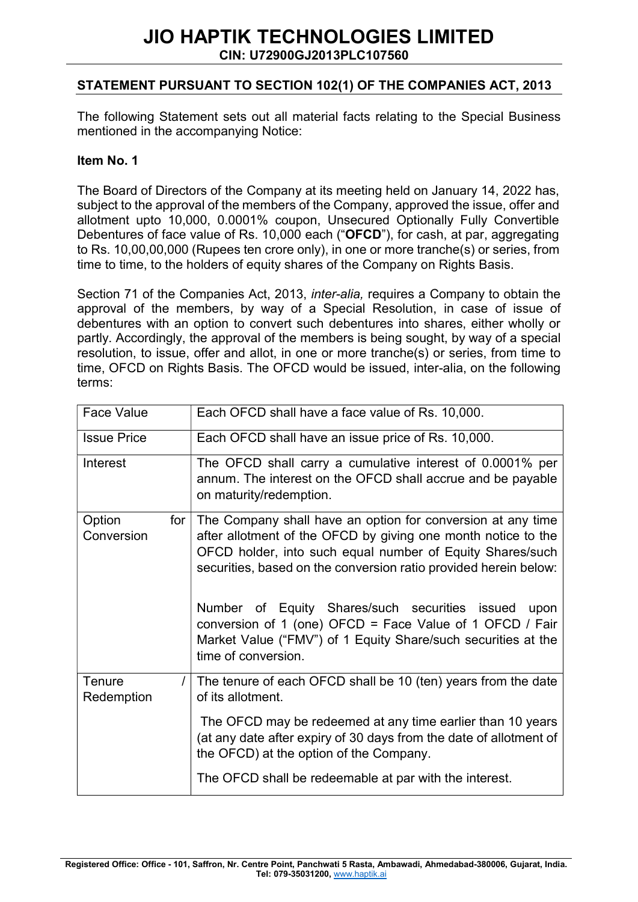## STATEMENT PURSUANT TO SECTION 102(1) OF THE COMPANIES ACT, 2013

The following Statement sets out all material facts relating to the Special Business mentioned in the accompanying Notice:

#### Item No. 1

The Board of Directors of the Company at its meeting held on January 14, 2022 has, subject to the approval of the members of the Company, approved the issue, offer and allotment upto 10,000, 0.0001% coupon, Unsecured Optionally Fully Convertible Debentures of face value of Rs. 10,000 each ("OFCD"), for cash, at par, aggregating to Rs. 10,00,00,000 (Rupees ten crore only), in one or more tranche(s) or series, from time to time, to the holders of equity shares of the Company on Rights Basis.

Section 71 of the Companies Act, 2013, *inter-alia*, requires a Company to obtain the approval of the members, by way of a Special Resolution, in case of issue of debentures with an option to convert such debentures into shares, either wholly or partly. Accordingly, the approval of the members is being sought, by way of a special resolution, to issue, offer and allot, in one or more tranche(s) or series, from time to time, OFCD on Rights Basis. The OFCD would be issued, inter-alia, on the following terms:

| <b>Face Value</b>           | Each OFCD shall have a face value of Rs. 10,000.                                                                                                                                                                                                                                                                        |
|-----------------------------|-------------------------------------------------------------------------------------------------------------------------------------------------------------------------------------------------------------------------------------------------------------------------------------------------------------------------|
| <b>Issue Price</b>          | Each OFCD shall have an issue price of Rs. 10,000.                                                                                                                                                                                                                                                                      |
| Interest                    | The OFCD shall carry a cumulative interest of 0.0001% per<br>annum. The interest on the OFCD shall accrue and be payable<br>on maturity/redemption.                                                                                                                                                                     |
| Option<br>for<br>Conversion | The Company shall have an option for conversion at any time<br>after allotment of the OFCD by giving one month notice to the<br>OFCD holder, into such equal number of Equity Shares/such<br>securities, based on the conversion ratio provided herein below:<br>Number of Equity Shares/such securities issued<br>upon |
|                             | conversion of 1 (one) OFCD = Face Value of 1 OFCD / Fair<br>Market Value ("FMV") of 1 Equity Share/such securities at the<br>time of conversion.                                                                                                                                                                        |
| Tenure<br>T<br>Redemption   | The tenure of each OFCD shall be 10 (ten) years from the date<br>of its allotment.                                                                                                                                                                                                                                      |
|                             | The OFCD may be redeemed at any time earlier than 10 years<br>(at any date after expiry of 30 days from the date of allotment of<br>the OFCD) at the option of the Company.                                                                                                                                             |
|                             | The OFCD shall be redeemable at par with the interest.                                                                                                                                                                                                                                                                  |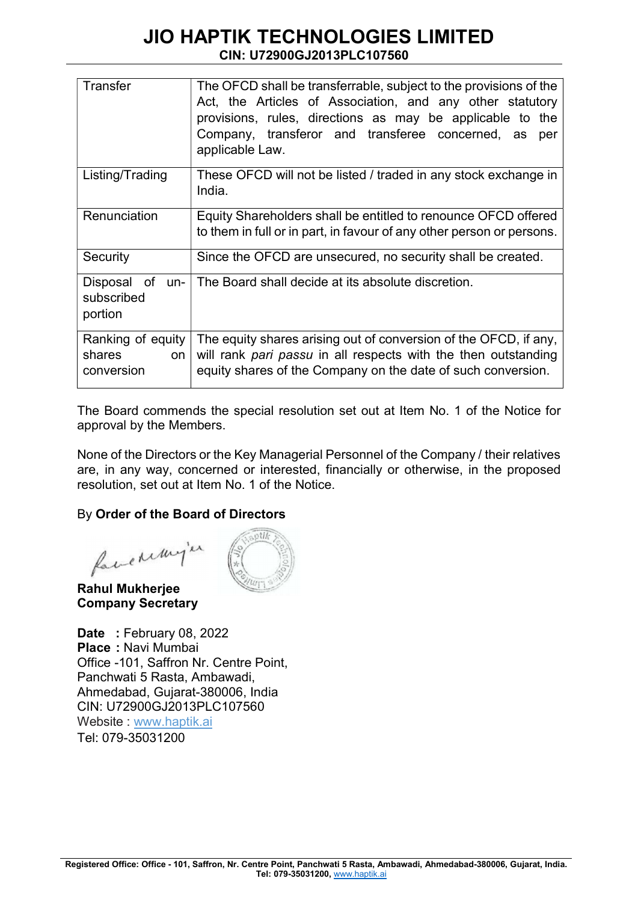| <b>Transfer</b>                                 | The OFCD shall be transferrable, subject to the provisions of the<br>Act, the Articles of Association, and any other statutory<br>provisions, rules, directions as may be applicable to the<br>Company, transferor and transferee concerned, as<br>per<br>applicable Law. |
|-------------------------------------------------|---------------------------------------------------------------------------------------------------------------------------------------------------------------------------------------------------------------------------------------------------------------------------|
| Listing/Trading                                 | These OFCD will not be listed / traded in any stock exchange in<br>India.                                                                                                                                                                                                 |
| Renunciation                                    | Equity Shareholders shall be entitled to renounce OFCD offered<br>to them in full or in part, in favour of any other person or persons.                                                                                                                                   |
| Security                                        | Since the OFCD are unsecured, no security shall be created.                                                                                                                                                                                                               |
| Disposal<br>of<br>un-<br>subscribed<br>portion  | The Board shall decide at its absolute discretion.                                                                                                                                                                                                                        |
| Ranking of equity<br>shares<br>on<br>conversion | The equity shares arising out of conversion of the OFCD, if any,<br>will rank pari passu in all respects with the then outstanding<br>equity shares of the Company on the date of such conversion.                                                                        |

The Board commends the special resolution set out at Item No. 1 of the Notice for approval by the Members.

None of the Directors or the Key Managerial Personnel of the Company / their relatives are, in any way, concerned or interested, financially or otherwise, in the proposed resolution, set out at Item No. 1 of the Notice.

## By Order of the Board of Directors

favenunger

Rahul Mukherjee Company Secretary

**Date** : February 08, 2022 Place : Navi Mumbai Office -101, Saffron Nr. Centre Point, Panchwati 5 Rasta, Ambawadi, Ahmedabad, Gujarat-380006, India CIN: U72900GJ2013PLC107560 Website : www.haptik.ai Tel: 079-35031200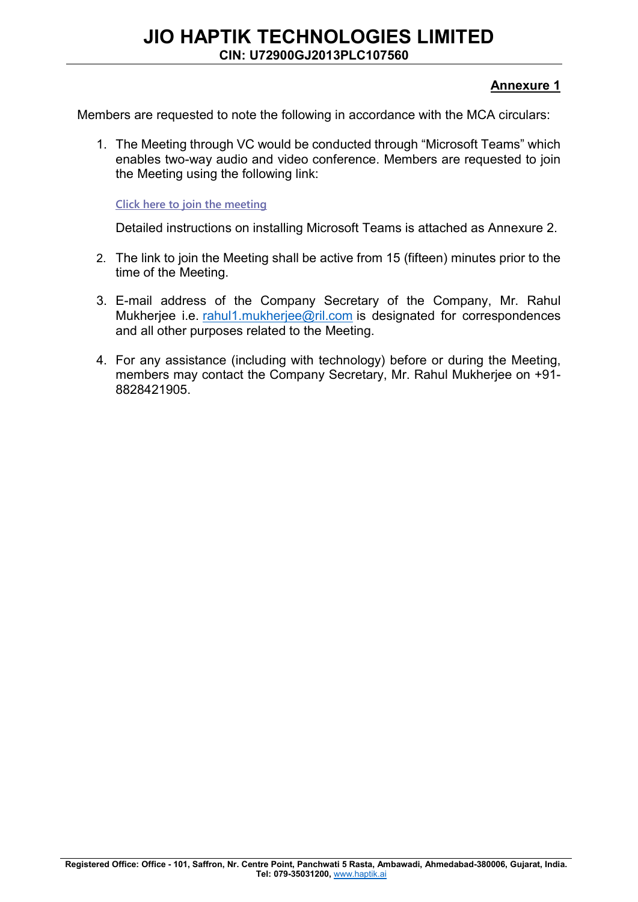### Annexure 1

Members are requested to note the following in accordance with the MCA circulars:

1. The Meeting through VC would be conducted through "Microsoft Teams" which enables two-way audio and video conference. Members are requested to join the Meeting using the following link:

Click here to join the meeting

Detailed instructions on installing Microsoft Teams is attached as Annexure 2.

- 2. The link to join the Meeting shall be active from 15 (fifteen) minutes prior to the time of the Meeting.
- 3. E-mail address of the Company Secretary of the Company, Mr. Rahul Mukherjee i.e. rahul1.mukherjee@ril.com is designated for correspondences and all other purposes related to the Meeting.
- 4. For any assistance (including with technology) before or during the Meeting, members may contact the Company Secretary, Mr. Rahul Mukherjee on +91- 8828421905.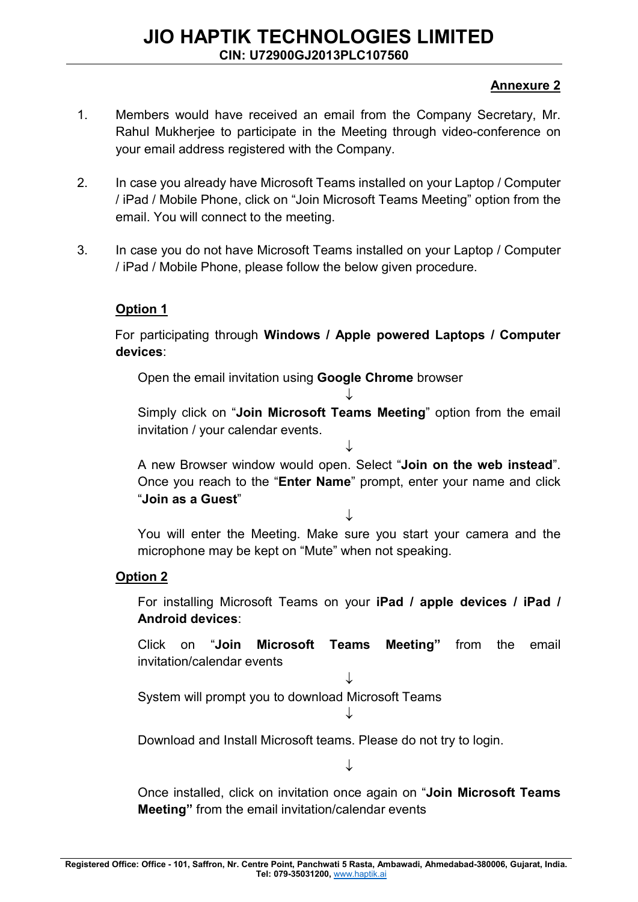## Annexure 2

- 1. Members would have received an email from the Company Secretary, Mr. Rahul Mukherjee to participate in the Meeting through video-conference on your email address registered with the Company.
- 2. In case you already have Microsoft Teams installed on your Laptop / Computer / iPad / Mobile Phone, click on "Join Microsoft Teams Meeting" option from the email. You will connect to the meeting.
- 3. In case you do not have Microsoft Teams installed on your Laptop / Computer / iPad / Mobile Phone, please follow the below given procedure.

## Option 1

For participating through Windows / Apple powered Laptops / Computer devices:

Open the email invitation using Google Chrome browser

Simply click on "Join Microsoft Teams Meeting" option from the email invitation / your calendar events.

 $\downarrow$ 

 $\downarrow$ 

A new Browser window would open. Select "Join on the web instead". Once you reach to the "Enter Name" prompt, enter your name and click "Join as a Guest"

J

You will enter the Meeting. Make sure you start your camera and the microphone may be kept on "Mute" when not speaking.

## Option 2

For installing Microsoft Teams on your iPad / apple devices / iPad / Android devices:

Click on "Join Microsoft Teams Meeting" from the email invitation/calendar events

 $\downarrow$ System will prompt you to download Microsoft Teams

 $\downarrow$ 

Download and Install Microsoft teams. Please do not try to login.

J

Once installed, click on invitation once again on "Join Microsoft Teams Meeting" from the email invitation/calendar events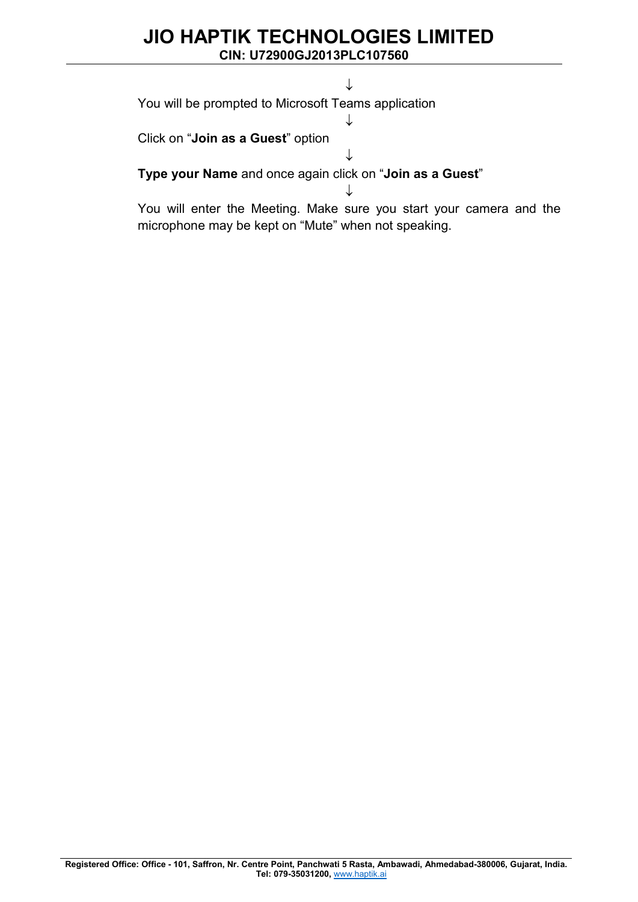# JIO HAPTIK TECHNOLOGIES LIMITED

CIN: U72900GJ2013PLC107560

You will be prompted to Microsoft Teams application

Click on "Join as a Guest" option

Type your Name and once again click on "Join as a Guest"

You will enter the Meeting. Make sure you start your camera and the microphone may be kept on "Mute" when not speaking.

J

 $\downarrow$ 

 $\downarrow$ 

 $\downarrow$